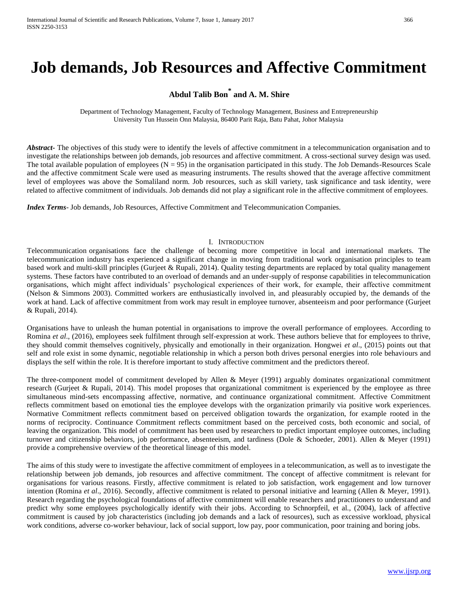# **Job demands, Job Resources and Affective Commitment**

# **Abdul Talib Bon\* and A. M. Shire**

Department of Technology Management, Faculty of Technology Management, Business and Entrepreneurship University Tun Hussein Onn Malaysia, 86400 Parit Raja, Batu Pahat, Johor Malaysia

*Abstract* The objectives of this study were to identify the levels of affective commitment in a telecommunication organisation and to investigate the relationships between job demands, job resources and affective commitment. A cross-sectional survey design was used. The total available population of employees  $(N = 95)$  in the organisation participated in this study. The Job Demands-Resources Scale and the affective commitment Scale were used as measuring instruments. The results showed that the average affective commitment level of employees was above the Somaliland norm. Job resources, such as skill variety, task significance and task identity, were related to affective commitment of individuals. Job demands did not play a significant role in the affective commitment of employees.

*Index Terms*- Job demands, Job Resources, Affective Commitment and Telecommunication Companies.

# I. INTRODUCTION

Telecommunication organisations face the challenge of becoming more competitive in local and international markets. The telecommunication industry has experienced a significant change in moving from traditional work organisation principles to team based work and multi-skill principles (Gurjeet & Rupali, 2014). Quality testing departments are replaced by total quality management systems. These factors have contributed to an overload of demands and an under-supply of response capabilities in telecommunication organisations, which might affect individuals' psychological experiences of their work, for example, their affective commitment (Nelson & Simmons 2003). Committed workers are enthusiastically involved in, and pleasurably occupied by, the demands of the work at hand. Lack of affective commitment from work may result in employee turnover, absenteeism and poor performance (Gurjeet & Rupali, 2014).

Organisations have to unleash the human potential in organisations to improve the overall performance of employees. According to Romina *et al*., (2016), employees seek fulfilment through self-expression at work. These authors believe that for employees to thrive, they should commit themselves cognitively, physically and emotionally in their organization. Hongwei *et al*., (2015) points out that self and role exist in some dynamic, negotiable relationship in which a person both drives personal energies into role behaviours and displays the self within the role. It is therefore important to study affective commitment and the predictors thereof.

The three-component model of commitment developed by Allen & Meyer (1991) arguably dominates organizational commitment research (Gurjeet & Rupali, 2014). This model proposes that organizational commitment is experienced by the employee as three simultaneous mind-sets encompassing affective, normative, and continuance organizational commitment. Affective Commitment reflects commitment based on emotional ties the employee develops with the organization primarily via positive work experiences. Normative Commitment reflects commitment based on perceived obligation towards the organization, for example rooted in the norms of reciprocity. Continuance Commitment reflects commitment based on the perceived costs, both economic and social, of leaving the organization. This model of commitment has been used by researchers to predict important employee outcomes, including turnover and citizenship behaviors, job performance, absenteeism, and tardiness (Dole & Schoeder, 2001). Allen & Meyer (1991) provide a comprehensive overview of the theoretical lineage of this model.

The aims of this study were to investigate the affective commitment of employees in a telecommunication, as well as to investigate the relationship between job demands, job resources and affective commitment. The concept of affective commitment is relevant for organisations for various reasons. Firstly, affective commitment is related to job satisfaction, work engagement and low turnover intention (Romina *et al*., 2016). Secondly, affective commitment is related to personal initiative and learning (Allen & Meyer, 1991). Research regarding the psychological foundations of affective commitment will enable researchers and practitioners to understand and predict why some employees psychologically identify with their jobs. According to Schnorpfeil, et al., (2004), lack of affective commitment is caused by job characteristics (including job demands and a lack of resources), such as excessive workload, physical work conditions, adverse co-worker behaviour, lack of social support, low pay, poor communication, poor training and boring jobs.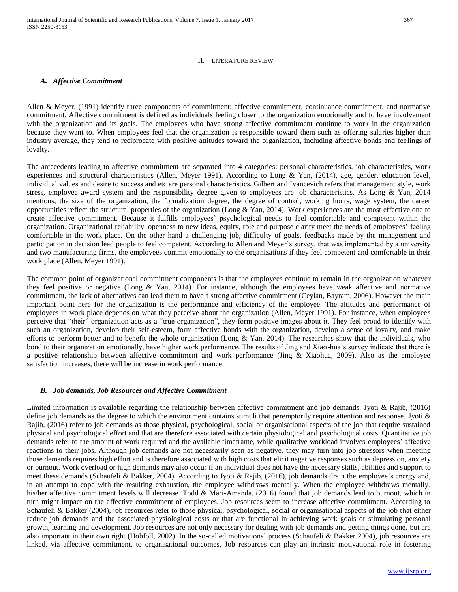## II. LITERATURE REVIEW

# *A. Affective Commitment*

Allen & Meyer, (1991) identify three components of commitment: affective commitment, continuance commitment, and normative commitment. Affective commitment is defined as individuals feeling closer to the organization emotionally and to have involvement with the organization and its goals. The employees who have strong affective commitment continue to work in the organization because they want to. When employees feel that the organization is responsible toward them such as offering salaries higher than industry average, they tend to reciprocate with positive attitudes toward the organization, including affective bonds and feelings of loyalty.

The antecedents leading to affective commitment are separated into 4 categories: personal characteristics, job characteristics, work experiences and structural characteristics (Allen, Meyer 1991). According to Long & Yan, (2014), age, gender, education level, individual values and desire to success and etc are personal characteristics. Gilbert and Ivancevich refers that management style, work stress, employee award system and the responsibility degree given to employees are job characteristics. As Long & Yan, 2014 mentions, the size of the organization, the formalization degree, the degree of control, working hours, wage system, the career opportunities reflect the structural properties of the organization (Long & Yan, 2014). Work experiences are the most effective one to create affective commitment. Because it fulfills employees' psychological needs to feel comfortable and competent within the organization. Organizational reliability, openness to new ideas, equity, role and purpose clarity meet the needs of employees' feeling comfortable in the work place. On the other hand a challenging job, difficulty of goals, feedbacks made by the management and participation in decision lead people to feel competent. According to Allen and Meyer's survey, that was implemented by a university and two manufacturing firms, the employees commit emotionally to the organizations if they feel competent and comfortable in their work place (Allen, Meyer 1991).

The common point of organizational commitment components is that the employees continue to remain in the organization whatever they feel positive or negative (Long & Yan, 2014). For instance, although the employees have weak affective and normative commitment, the lack of alternatives can lead them to have a strong affective commitment (Ceylan, Bayram, 2006). However the main important point here for the organization is the performance and efficiency of the employee. The altitudes and performance of employees in work place depends on what they perceive about the organization (Allen, Meyer 1991). For instance, when employees perceive that "their" organization acts as a "true organization", they form positive images about it. They feel proud to identify with such an organization, develop their self-esteem, form affective bonds with the organization, develop a sense of loyalty, and make efforts to perform better and to benefit the whole organization (Long  $\&$  Yan, 2014). The researches show that the individuals, who bond to their organization emotionally, have higher work performance. The results of Jing and Xiao-hua's survey indicate that there is a positive relationship between affective commitment and work performance (Jing & Xiaohua, 2009). Also as the employee satisfaction increases, there will be increase in work performance.

# *B. Job demands, Job Resources and Affective Commitment*

Limited information is available regarding the relationship between affective commitment and job demands. Jyoti & Rajib, (2016) define job demands as the degree to which the environment contains stimuli that peremptorily require attention and response. Jyoti & Rajib, (2016) refer to job demands as those physical, psychological, social or organisational aspects of the job that require sustained physical and psychological effort and that are therefore associated with certain physiological and psychological costs. Quantitative job demands refer to the amount of work required and the available timeframe, while qualitative workload involves employees' affective reactions to their jobs. Although job demands are not necessarily seen as negative, they may turn into job stressors when meeting those demands requires high effort and is therefore associated with high costs that elicit negative responses such as depression, anxiety or burnout. Work overload or high demands may also occur if an individual does not have the necessary skills, abilities and support to meet these demands (Schaufeli & Bakker, 2004). According to Jyoti & Rajib, (2016), job demands drain the employee's energy and, in an attempt to cope with the resulting exhaustion, the employee withdraws mentally. When the employee withdraws mentally, his/her affective commitment levels will decrease. Todd & Mari-Amanda, (2016) found that job demands lead to burnout, which in turn might impact on the affective commitment of employees. Job resources seem to increase affective commitment. According to Schaufeli & Bakker (2004), job resources refer to those physical, psychological, social or organisational aspects of the job that either reduce job demands and the associated physiological costs or that are functional in achieving work goals or stimulating personal growth, learning and development. Job resources are not only necessary for dealing with job demands and getting things done, but are also important in their own right (Hobfoll, 2002). In the so-called motivational process (Schaufeli & Bakker 2004), job resources are linked, via affective commitment, to organisational outcomes. Job resources can play an intrinsic motivational role in fostering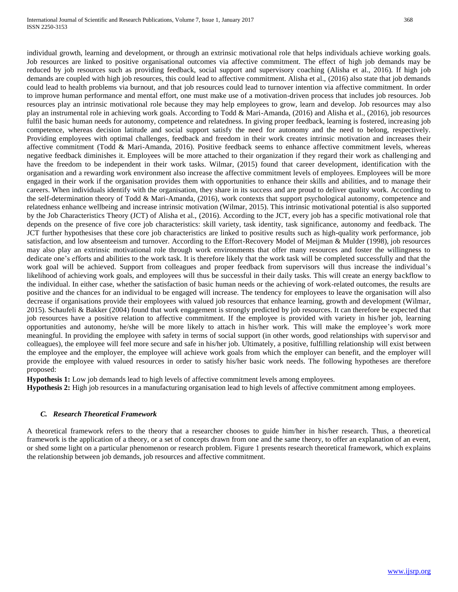individual growth, learning and development, or through an extrinsic motivational role that helps individuals achieve working goals. Job resources are linked to positive organisational outcomes via affective commitment. The effect of high job demands may be reduced by job resources such as providing feedback, social support and supervisory coaching (Alisha et al., 2016). If high job demands are coupled with high job resources, this could lead to affective commitment. Alisha et al., (2016) also state that job demands could lead to health problems via burnout, and that job resources could lead to turnover intention via affective commitment. In order to improve human performance and mental effort, one must make use of a motivation-driven process that includes job resources. Job resources play an intrinsic motivational role because they may help employees to grow, learn and develop. Job resources may also play an instrumental role in achieving work goals. According to Todd & Mari-Amanda, (2016) and Alisha et al., (2016), job resources fulfil the basic human needs for autonomy, competence and relatedness. In giving proper feedback, learning is fostered, increasing job competence, whereas decision latitude and social support satisfy the need for autonomy and the need to belong, respectively. Providing employees with optimal challenges, feedback and freedom in their work creates intrinsic motivation and increases their affective commitment (Todd & Mari-Amanda, 2016). Positive feedback seems to enhance affective commitment levels, whereas negative feedback diminishes it. Employees will be more attached to their organization if they regard their work as challenging and have the freedom to be independent in their work tasks. Wilmar, (2015) found that career development, identification with the organisation and a rewarding work environment also increase the affective commitment levels of employees. Employees will be more engaged in their work if the organisation provides them with opportunities to enhance their skills and abilities, and to manage their careers. When individuals identify with the organisation, they share in its success and are proud to deliver quality work. According to the self-determination theory of Todd & Mari-Amanda, (2016), work contexts that support psychological autonomy, competence and relatedness enhance wellbeing and increase intrinsic motivation (Wilmar, 2015). This intrinsic motivational potential is also supported by the Job Characteristics Theory (JCT) of Alisha et al., (2016). According to the JCT, every job has a specific motivational role that depends on the presence of five core job characteristics: skill variety, task identity, task significance, autonomy and feedback. The JCT further hypothesises that these core job characteristics are linked to positive results such as high-quality work performance, job satisfaction, and low absenteeism and turnover. According to the Effort-Recovery Model of Meijman & Mulder (1998), job resources may also play an extrinsic motivational role through work environments that offer many resources and foster the willingness to dedicate one's efforts and abilities to the work task. It is therefore likely that the work task will be completed successfully and that the work goal will be achieved. Support from colleagues and proper feedback from supervisors will thus increase the individual's likelihood of achieving work goals, and employees will thus be successful in their daily tasks. This will create an energy backflow to the individual. In either case, whether the satisfaction of basic human needs or the achieving of work-related outcomes, the results are positive and the chances for an individual to be engaged will increase. The tendency for employees to leave the organisation will also decrease if organisations provide their employees with valued job resources that enhance learning, growth and development (Wilmar, 2015). Schaufeli & Bakker (2004) found that work engagement is strongly predicted by job resources. It can therefore be expected that job resources have a positive relation to affective commitment. If the employee is provided with variety in his/her job, learning opportunities and autonomy, he/she will be more likely to attach in his/her work. This will make the employee's work more meaningful. In providing the employee with safety in terms of social support (in other words, good relationships with supervisor and colleagues), the employee will feel more secure and safe in his/her job. Ultimately, a positive, fulfilling relationship will exist between the employee and the employer, the employee will achieve work goals from which the employer can benefit, and the employer will provide the employee with valued resources in order to satisfy his/her basic work needs. The following hypotheses are therefore proposed:

**Hypothesis 1:** Low job demands lead to high levels of affective commitment levels among employees.

**Hypothesis 2:** High job resources in a manufacturing organisation lead to high levels of affective commitment among employees.

# *C. Research Theoretical Framework*

A theoretical framework refers to the theory that a researcher chooses to guide him/her in his/her research. Thus, a theoretical framework is the application of a theory, or a set of concepts drawn from one and the same theory, to offer an explanation of an event, or shed some light on a particular phenomenon or research problem. Figure 1 presents research theoretical framework, which explains the relationship between job demands, job resources and affective commitment.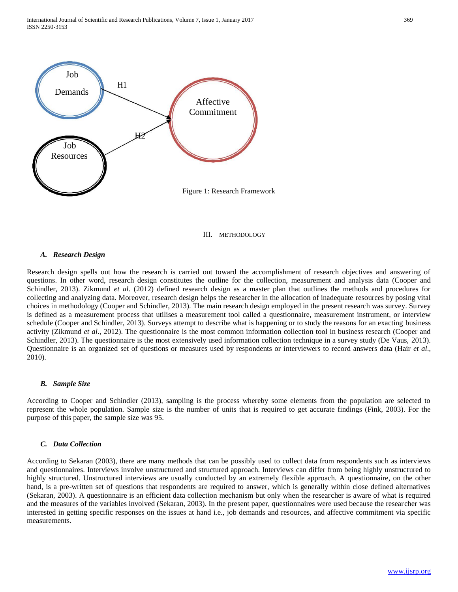

III. METHODOLOGY

# *A. Research Design*

Research design spells out how the research is carried out toward the accomplishment of research objectives and answering of questions. In other word, research design constitutes the outline for the collection, measurement and analysis data (Cooper and Schindler, 2013). Zikmund *et al*. (2012) defined research design as a master plan that outlines the methods and procedures for collecting and analyzing data. Moreover, research design helps the researcher in the allocation of inadequate resources by posing vital choices in methodology (Cooper and Schindler, 2013). The main research design employed in the present research was survey. Survey is defined as a measurement process that utilises a measurement tool called a questionnaire, measurement instrument, or interview schedule (Cooper and Schindler, 2013). Surveys attempt to describe what is happening or to study the reasons for an exacting business activity (Zikmund *et al*., 2012). The questionnaire is the most common information collection tool in business research (Cooper and Schindler, 2013). The questionnaire is the most extensively used information collection technique in a survey study (De Vaus, 2013). Questionnaire is an organized set of questions or measures used by respondents or interviewers to record answers data (Hair *et al*., 2010).

#### *B. Sample Size*

According to Cooper and Schindler (2013), sampling is the process whereby some elements from the population are selected to represent the whole population. Sample size is the number of units that is required to get accurate findings (Fink, 2003). For the purpose of this paper, the sample size was 95.

## *C. Data Collection*

According to Sekaran (2003), there are many methods that can be possibly used to collect data from respondents such as interviews and questionnaires. Interviews involve unstructured and structured approach. Interviews can differ from being highly unstructured to highly structured. Unstructured interviews are usually conducted by an extremely flexible approach. A questionnaire, on the other hand, is a pre-written set of questions that respondents are required to answer, which is generally within close defined alternatives (Sekaran, 2003). A questionnaire is an efficient data collection mechanism but only when the researcher is aware of what is required and the measures of the variables involved (Sekaran, 2003). In the present paper, questionnaires were used because the researcher was interested in getting specific responses on the issues at hand i.e., job demands and resources, and affective commitment via specific measurements.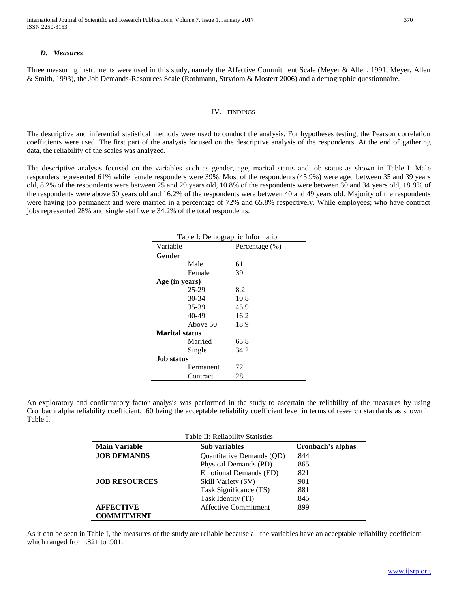International Journal of Scientific and Research Publications, Volume 7, Issue 1, January 2017 370 ISSN 2250-3153

# *D. Measures*

Three measuring instruments were used in this study, namely the Affective Commitment Scale (Meyer & Allen, 1991; Meyer, Allen & Smith, 1993), the Job Demands-Resources Scale (Rothmann, Strydom & Mostert 2006) and a demographic questionnaire.

#### IV. FINDINGS

The descriptive and inferential statistical methods were used to conduct the analysis. For hypotheses testing, the Pearson correlation coefficients were used. The first part of the analysis focused on the descriptive analysis of the respondents. At the end of gathering data, the reliability of the scales was analyzed.

The descriptive analysis focused on the variables such as gender, age, marital status and job status as shown in Table I. Male responders represented 61% while female responders were 39%. Most of the respondents (45.9%) were aged between 35 and 39 years old, 8.2% of the respondents were between 25 and 29 years old, 10.8% of the respondents were between 30 and 34 years old, 18.9% of the respondents were above 50 years old and 16.2% of the respondents were between 40 and 49 years old. Majority of the respondents were having job permanent and were married in a percentage of 72% and 65.8% respectively. While employees; who have contract jobs represented 28% and single staff were 34.2% of the total respondents.

| Table I: Demographic Information |                       |                |  |  |
|----------------------------------|-----------------------|----------------|--|--|
| Variable                         |                       | Percentage (%) |  |  |
| Gender                           |                       |                |  |  |
|                                  | Male                  | 61             |  |  |
|                                  | Female                | 39             |  |  |
|                                  | Age (in years)        |                |  |  |
|                                  | $25-29$               | 8.2            |  |  |
|                                  | 30-34                 | 10.8           |  |  |
|                                  | 35-39                 | 45.9           |  |  |
|                                  | 40-49                 | 16.2           |  |  |
|                                  | Above 50              | 18.9           |  |  |
|                                  | <b>Marital status</b> |                |  |  |
|                                  | Married               | 65.8           |  |  |
|                                  | Single                | 34.2           |  |  |
| Job status                       |                       |                |  |  |
|                                  | Permanent             | 72             |  |  |
|                                  | Contract              | 28             |  |  |

An exploratory and confirmatory factor analysis was performed in the study to ascertain the reliability of the measures by using Cronbach alpha reliability coefficient; .60 being the acceptable reliability coefficient level in terms of research standards as shown in Table I.

| Table II: Reliability Statistics |                                  |                   |  |  |
|----------------------------------|----------------------------------|-------------------|--|--|
| <b>Main Variable</b>             | <b>Sub variables</b>             | Cronbach's alphas |  |  |
| <b>JOB DEMANDS</b>               | <b>Ouantitative Demands (OD)</b> | .844              |  |  |
|                                  | Physical Demands (PD)            | .865              |  |  |
|                                  | <b>Emotional Demands (ED)</b>    | .821              |  |  |
| <b>JOB RESOURCES</b>             | Skill Variety (SV)               | .901              |  |  |
|                                  | Task Significance (TS)           | .881              |  |  |
|                                  | Task Identity (TI)               | .845              |  |  |
| <b>AFFECTIVE</b>                 | Affective Commitment             | .899              |  |  |
| <b>COMMITMENT</b>                |                                  |                   |  |  |

As it can be seen in Table I, the measures of the study are reliable because all the variables have an acceptable reliability coefficient which ranged from .821 to .901.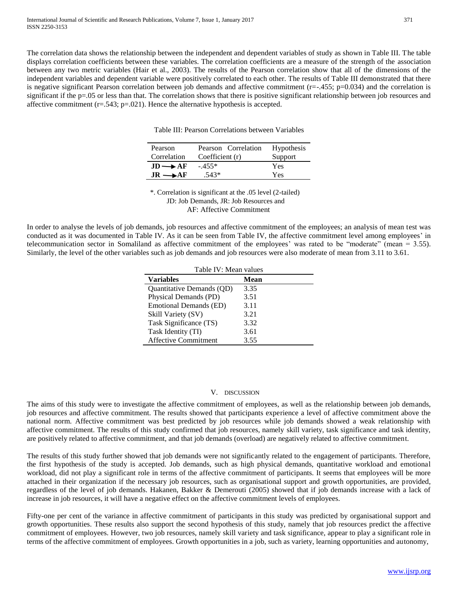The correlation data shows the relationship between the independent and dependent variables of study as shown in Table III. The table displays correlation coefficients between these variables. The correlation coefficients are a measure of the strength of the association between any two metric variables (Hair et al., 2003). The results of the Pearson correlation show that all of the dimensions of the independent variables and dependent variable were positively correlated to each other. The results of Table III demonstrated that there is negative significant Pearson correlation between job demands and affective commitment  $(r=-.455; p=0.034)$  and the correlation is significant if the p=.05 or less than that. The correlation shows that there is positive significant relationship between job resources and affective commitment  $(r=.543; p=.021)$ . Hence the alternative hypothesis is accepted.

Table III: Pearson Correlations between Variables

| Pearson                  | Pearson Correlation | <b>Hypothesis</b> |
|--------------------------|---------------------|-------------------|
| Correlation              | Coefficient (r)     | Support           |
| $JD \rightarrow AF$      | $-.455*$            | Yes               |
| $\rightarrow$ AF<br>.IR. | -543*               | Yes               |

\*. Correlation is significant at the .05 level (2-tailed) JD: Job Demands, JR: Job Resources and AF: Affective Commitment

In order to analyse the levels of job demands, job resources and affective commitment of the employees; an analysis of mean test was conducted as it was documented in Table IV. As it can be seen from Table IV, the affective commitment level among employees' in telecommunication sector in Somaliland as affective commitment of the employees' was rated to be "moderate" (mean = 3.55). Similarly, the level of the other variables such as job demands and job resources were also moderate of mean from 3.11 to 3.61.

| Table IV: Mean values       |      |  |  |  |
|-----------------------------|------|--|--|--|
| <b>Variables</b>            | Mean |  |  |  |
| Quantitative Demands (QD)   | 3.35 |  |  |  |
| Physical Demands (PD)       | 3.51 |  |  |  |
| Emotional Demands (ED)      | 3.11 |  |  |  |
| Skill Variety (SV)          | 3.21 |  |  |  |
| Task Significance (TS)      | 3.32 |  |  |  |
| Task Identity (TI)          | 3.61 |  |  |  |
| <b>Affective Commitment</b> | 3.55 |  |  |  |

# V. DISCUSSION

The aims of this study were to investigate the affective commitment of employees, as well as the relationship between job demands, job resources and affective commitment. The results showed that participants experience a level of affective commitment above the national norm. Affective commitment was best predicted by job resources while job demands showed a weak relationship with affective commitment. The results of this study confirmed that job resources, namely skill variety, task significance and task identity, are positively related to affective commitment, and that job demands (overload) are negatively related to affective commitment.

The results of this study further showed that job demands were not significantly related to the engagement of participants. Therefore, the first hypothesis of the study is accepted. Job demands, such as high physical demands, quantitative workload and emotional workload, did not play a significant role in terms of the affective commitment of participants. It seems that employees will be more attached in their organization if the necessary job resources, such as organisational support and growth opportunities, are provided, regardless of the level of job demands. Hakanen, Bakker & Demerouti (2005) showed that if job demands increase with a lack of increase in job resources, it will have a negative effect on the affective commitment levels of employees.

Fifty-one per cent of the variance in affective commitment of participants in this study was predicted by organisational support and growth opportunities. These results also support the second hypothesis of this study, namely that job resources predict the affective commitment of employees. However, two job resources, namely skill variety and task significance, appear to play a significant role in terms of the affective commitment of employees. Growth opportunities in a job, such as variety, learning opportunities and autonomy,